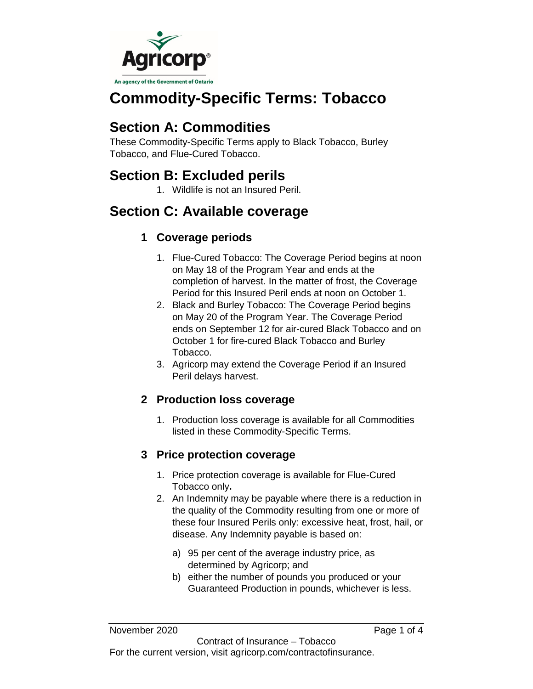

# **Commodity-Specific Terms: Tobacco**

## **Section A: Commodities**

These Commodity-Specific Terms apply to Black Tobacco, Burley Tobacco, and Flue-Cured Tobacco.

## **Section B: Excluded perils**

1. Wildlife is not an Insured Peril.

## **Section C: Available coverage**

### **1 Coverage periods**

- 1. Flue-Cured Tobacco: The Coverage Period begins at noon on May 18 of the Program Year and ends at the completion of harvest. In the matter of frost, the Coverage Period for this Insured Peril ends at noon on October 1.
- 2. Black and Burley Tobacco: The Coverage Period begins on May 20 of the Program Year. The Coverage Period ends on September 12 for air-cured Black Tobacco and on October 1 for fire-cured Black Tobacco and Burley Tobacco.
- 3. Agricorp may extend the Coverage Period if an Insured Peril delays harvest.

### **2 Production loss coverage**

1. Production loss coverage is available for all Commodities listed in these Commodity-Specific Terms.

### **3 Price protection coverage**

- 1. Price protection coverage is available for Flue-Cured Tobacco only**.**
- 2. An Indemnity may be payable where there is a reduction in the quality of the Commodity resulting from one or more of these four Insured Perils only: excessive heat, frost, hail, or disease. Any Indemnity payable is based on:
	- a) 95 per cent of the average industry price, as determined by Agricorp; and
	- b) either the number of pounds you produced or your Guaranteed Production in pounds, whichever is less.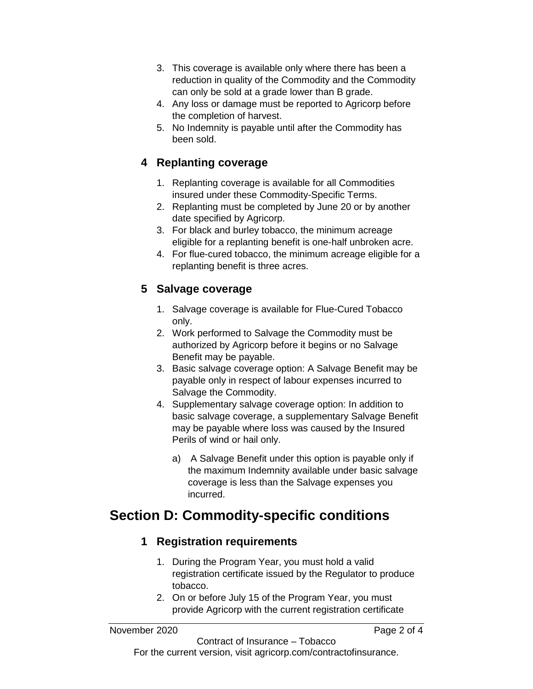- 3. This coverage is available only where there has been a reduction in quality of the Commodity and the Commodity can only be sold at a grade lower than B grade.
- 4. Any loss or damage must be reported to Agricorp before the completion of harvest.
- 5. No Indemnity is payable until after the Commodity has been sold.

#### **4 Replanting coverage**

- 1. Replanting coverage is available for all Commodities insured under these Commodity-Specific Terms.
- 2. Replanting must be completed by June 20 or by another date specified by Agricorp.
- 3. For black and burley tobacco, the minimum acreage eligible for a replanting benefit is one-half unbroken acre.
- 4. For flue-cured tobacco, the minimum acreage eligible for a replanting benefit is three acres.

#### **5 Salvage coverage**

- 1. Salvage coverage is available for Flue-Cured Tobacco only.
- 2. Work performed to Salvage the Commodity must be authorized by Agricorp before it begins or no Salvage Benefit may be payable.
- 3. Basic salvage coverage option: A Salvage Benefit may be payable only in respect of labour expenses incurred to Salvage the Commodity.
- 4. Supplementary salvage coverage option: In addition to basic salvage coverage, a supplementary Salvage Benefit may be payable where loss was caused by the Insured Perils of wind or hail only.
	- a) A Salvage Benefit under this option is payable only if the maximum Indemnity available under basic salvage coverage is less than the Salvage expenses you incurred.

## **Section D: Commodity-specific conditions**

#### **1 Registration requirements**

- 1. During the Program Year, you must hold a valid registration certificate issued by the Regulator to produce tobacco.
- 2. On or before July 15 of the Program Year, you must provide Agricorp with the current registration certificate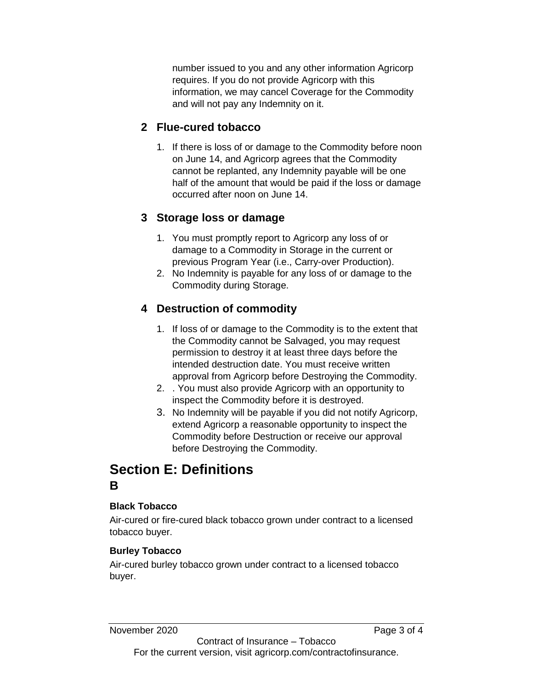number issued to you and any other information Agricorp requires. If you do not provide Agricorp with this information, we may cancel Coverage for the Commodity and will not pay any Indemnity on it.

### **2 Flue-cured tobacco**

1. If there is loss of or damage to the Commodity before noon on June 14, and Agricorp agrees that the Commodity cannot be replanted, any Indemnity payable will be one half of the amount that would be paid if the loss or damage occurred after noon on June 14.

### **3 Storage loss or damage**

- 1. You must promptly report to Agricorp any loss of or damage to a Commodity in Storage in the current or previous Program Year (i.e., Carry-over Production).
- 2. No Indemnity is payable for any loss of or damage to the Commodity during Storage.

## **4 Destruction of commodity**

- 1. If loss of or damage to the Commodity is to the extent that the Commodity cannot be Salvaged, you may request permission to destroy it at least three days before the intended destruction date. You must receive written approval from Agricorp before Destroying the Commodity.
- 2. . You must also provide Agricorp with an opportunity to inspect the Commodity before it is destroyed.
- 3. No Indemnity will be payable if you did not notify Agricorp, extend Agricorp a reasonable opportunity to inspect the Commodity before Destruction or receive our approval before Destroying the Commodity.

## **Section E: Definitions B**

#### **Black Tobacco**

Air-cured or fire-cured black tobacco grown under contract to a licensed tobacco buyer.

#### **Burley Tobacco**

Air-cured burley tobacco grown under contract to a licensed tobacco buyer.